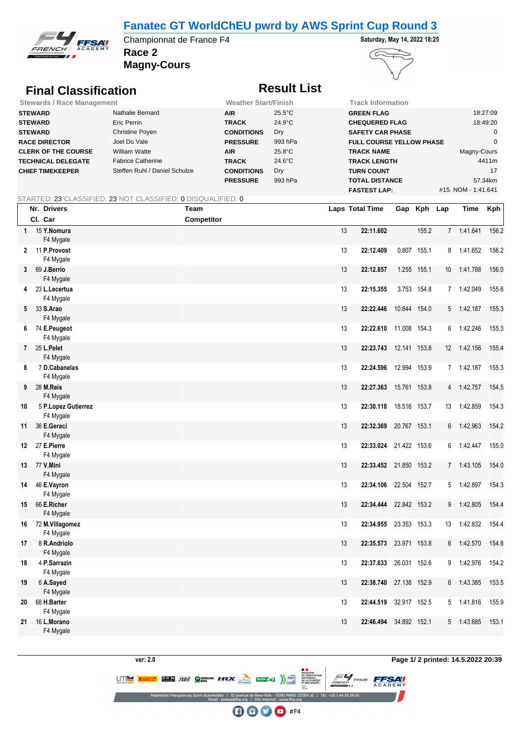### **Fanatec GT WorldChEU pwrd by AWS Sprint Cup Round 3**



**Race 2** Championnat de France F4 **Saturday, May 14, 2022 18:25** 





# **Final Classification Result List**

| <b>Stewards / Race Management</b> |                               | <b>Weather Start/Finish</b> |                  | Track Information               |                     |  |  |  |
|-----------------------------------|-------------------------------|-----------------------------|------------------|---------------------------------|---------------------|--|--|--|
| <b>STEWARD</b>                    | Nathalie Bernard              | <b>AIR</b>                  | $25.5^{\circ}$ C | <b>GREEN FLAG</b>               | 18:27:09            |  |  |  |
| <b>STEWARD</b>                    | Eric Perrin                   | <b>TRACK</b>                | $24.9^{\circ}$ C | <b>CHEQUERED FLAG</b>           | 18:49:20            |  |  |  |
| <b>STEWARD</b>                    | Christine Poyen               | <b>CONDITIONS</b>           | Dry              | <b>SAFETY CAR PHASE</b>         |                     |  |  |  |
| <b>RACE DIRECTOR</b>              | Joel Do Vale                  | <b>PRESSURE</b>             | 993 hPa          | <b>FULL COURSE YELLOW PHASE</b> |                     |  |  |  |
| <b>CLERK OF THE COURSE</b>        | <b>William Watte</b>          | <b>AIR</b>                  | $25.8^{\circ}$ C | <b>TRACK NAME</b>               | Magny-Cours         |  |  |  |
| <b>TECHNICAL DELEGATE</b>         | <b>Fabrice Catherine</b>      | <b>TRACK</b>                | $24.6^{\circ}$ C | <b>TRACK LENGTH</b>             | 4411m               |  |  |  |
| <b>CHIEF TIMEKEEPER</b>           | Steffen Ruhl / Daniel Schulze | <b>CONDITIONS</b>           | Dry              | <b>TURN COUNT</b>               | 17                  |  |  |  |
|                                   |                               | <b>PRESSURE</b>             | 993 hPa          | <b>TOTAL DISTANCE</b>           | 57.34km             |  |  |  |
|                                   |                               |                             |                  | <b>FASTEST LAP:</b>             | #15, NOM - 1:41.641 |  |  |  |

### STARTED: 23 CLASSIFIED: 23 NOT CLASSIFIED: 0 DISQUALIFIED: 0

|              | Nr. Drivers                      | <b>Team</b>       |    | Laps Total Time        |              | Gap Kph Lap |    | Time       | Kph   |
|--------------|----------------------------------|-------------------|----|------------------------|--------------|-------------|----|------------|-------|
|              | Cl. Car                          | <b>Competitor</b> |    |                        |              |             |    |            |       |
| $\mathbf{1}$ | 15 Y.Nomura<br>F4 Mygale         |                   | 13 | 22:11.602              |              | 155.2       |    | 7 1:41.641 | 156.2 |
|              | 2 11 P.Provost<br>F4 Mygale      |                   | 13 | 22:12.409              |              | 0.807 155.1 | 8  | 1:41.652   | 156.2 |
|              | 3 69 J.Berrio<br>F4 Mygale       |                   | 13 | 22:12.857              |              | 1.255 155.1 | 10 | 1:41.788   | 156.0 |
| 4            | 23 L.Lecertua<br>F4 Mygale       |                   | 13 | 22:15.355              |              | 3.753 154.8 |    | 7 1:42.049 | 155.6 |
|              | 5 33 S.Arao<br>F4 Mygale         |                   | 13 | 22:22.446              | 10.844 154.0 |             | 5  | 1:42.187   | 155.3 |
|              | 6 74 E.Peugeot<br>F4 Mygale      |                   | 13 | 22:22.610 11.008 154.3 |              |             |    | 6 1:42.246 | 155.3 |
|              | 7 25 L.Pelet<br>F4 Mygale        |                   | 13 | 22:23.743 12.141 153.8 |              |             | 12 | 1:42.156   | 155.4 |
| 8            | 7 D.Cabanelas<br>F4 Mygale       |                   | 13 | 22:24.596 12.994 153.9 |              |             |    | 7 1:42.187 | 155.3 |
| 9            | 28 M.Reis<br>F4 Mygale           |                   | 13 | 22:27.363              | 15.761 153.8 |             | 4  | 1:42.757   | 154.5 |
| 10           | 5 P.Lopez Gutierrez<br>F4 Mygale |                   | 13 | 22:30.118 18.516 153.7 |              |             | 13 | 1:42.859   | 154.3 |
| 11           | 36 E.Geraci<br>F4 Mygale         |                   | 13 | 22:32.369              | 20.767 153.1 |             | 6  | 1:42.963   | 154.2 |
|              | 12 27 E.Pierre<br>F4 Mygale      |                   | 13 | 22:33.024 21.422 153.6 |              |             | 6  | 1:42.447   | 155.0 |
|              | 13 77 V.Mini<br>F4 Mygale        |                   | 13 | 22:33.452 21.850 153.2 |              |             |    | 7 1:43.105 | 154.0 |
| 14           | 46 E.Vayron<br>F4 Mygale         |                   | 13 | 22:34.106 22.504 152.7 |              |             | 5  | 1:42.897   | 154.3 |
| 15           | 66 E.Richer<br>F4 Mygale         |                   | 13 | 22:34.444 22.842 153.2 |              |             | 9  | 1:42.805   | 154.4 |
| 16           | 72 M.Villagomez<br>F4 Mygale     |                   | 13 | 22:34.955 23.353 153.3 |              |             | 13 | 1:42.832   | 154.4 |
| 17           | 8 R.Andriolo<br>F4 Mygale        |                   | 13 | 22:35.573 23.971 153.8 |              |             | 6  | 1:42.570   | 154.8 |
| 18           | 4 P.Sarrazin<br>F4 Mygale        |                   | 13 | 22:37.633              | 26.031 152.6 |             |    | 9 1:42.976 | 154.2 |
| 19           | 6 A.Sayed<br>F4 Mygale           |                   | 13 | 22:38.740              | 27.138 152.9 |             | 6  | 1:43.385   | 153.5 |
| 20           | 68 H.Barter<br>F4 Mygale         |                   | 13 | 22:44.519              | 32.917 152.5 |             |    | 5 1:41.816 | 155.9 |
| 21           | 16 L.Morano<br>F4 Mygale         |                   | 13 | 22:46.494 34.892 152.1 |              |             | 5  | 1:43.685   | 153.1 |



**FFSAV** 

**LITTELL BRAN CIEF QUINCHER HEADY CONTROLLER (METADOR)** 

EDEX 16 | Tél: +33 1 44 30 24 0

**DE L'ÉDUCATION<br>NATIONALE,<br>DE LA JEUNESSE<br>ET DES SPORTS** 

 $\bigoplus$   $\bigoplus$   $\bigoplus$  #F4